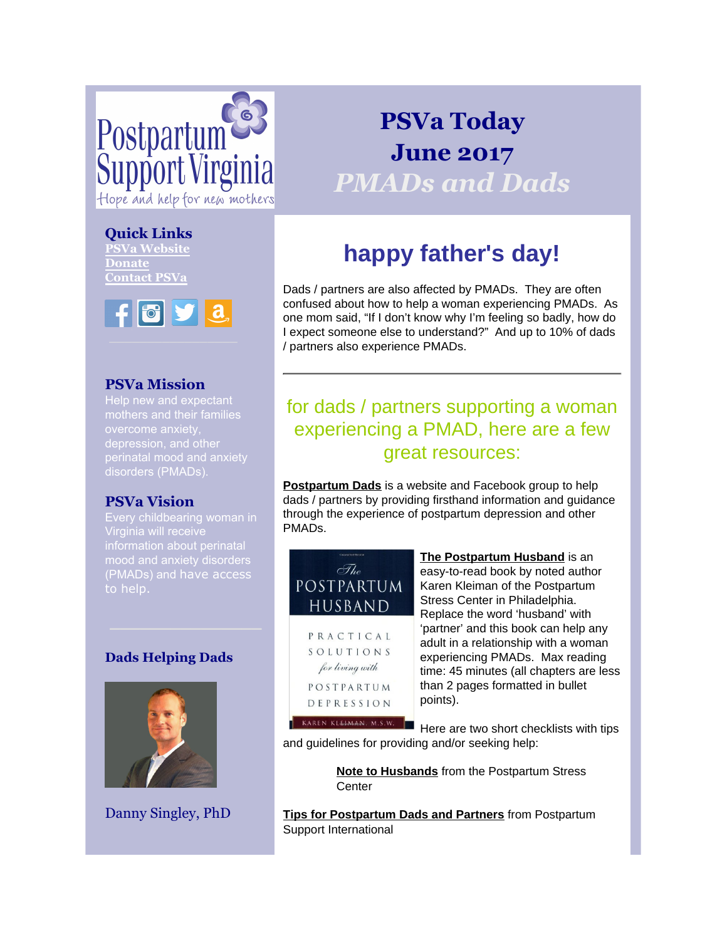

# **PSVa Today June 2017** *PMADs and Dads*

### **Quick Links**

**[PSVa Website](http://www.postpartumva.org) [Donate](https://app.etapestry.com/hosted/PostpartumSupportVirginia/OnlineDonation.html) Contact PSVa**



### **PSVa Mission**

overcome anxiety, depression, and other disorders (PMADs).

### **PSVa Vision**

Every childbearing woman in Virginia will receive mood and anxiety disorders

### **Dads Helping Dads**



Danny Singley, PhD

## **happy father's day!**

Dads / partners are also affected by PMADs. They are often confused about how to help a woman experiencing PMADs. As one mom said, "If I don't know why I'm feeling so badly, how do I expect someone else to understand?" And up to 10% of dads / partners also experience PMADs.

## for dads / partners supporting a woman experiencing a PMAD, here are a few great resources:

**[Postpartum Dads](http://www.postpartumdads.org/)** is a website and Facebook group to help dads / partners by providing firsthand information and guidance through the experience of postpartum depression and other PMADs.



SOLUTIONS for living with POSTPARTUM DEPRESSION

**[The Postpartum Husband](https://www.amazon.com/Postpartum-Husband-Practical-Solutions-Depression/dp/0738836362)** is an easy-to-read book by noted author Karen Kleiman of the Postpartum Stress Center in Philadelphia. Replace the word 'husband' with 'partner' and this book can help any adult in a relationship with a woman experiencing PMADs. Max reading time: 45 minutes (all chapters are less than 2 pages formatted in bullet points).

KAREN KLEJMAN, M.S.W. Here are two short checklists with tips and guidelines for providing and/or seeking help:

> **[Note to Husbands](http://postpartumstress.com/2012/03/19/note-to-husbands/)** from the Postpartum Stress **Center**

**[Tips for Postpartum Dads and Partners](http://www.postpartum.net/wp-content/uploads/2014/11/Tips-for-Postpartum-Dads-and-Partners.pdf)** from Postpartum Support International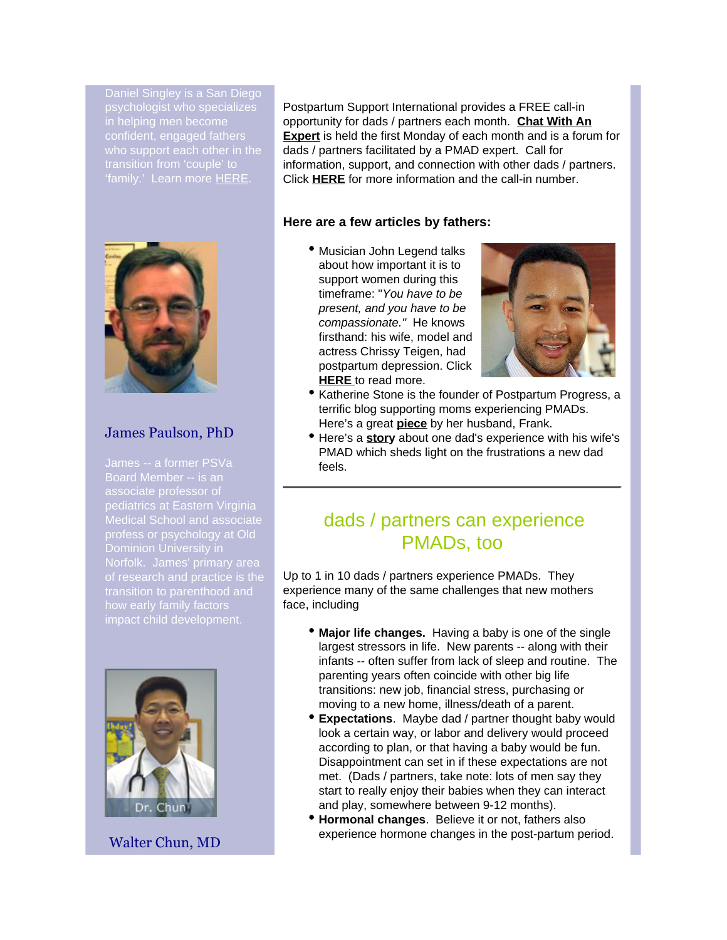Daniel Singley is a San Diego psychologist who specializes in helping men become confident, engaged fathers 'family.' Learn more [HERE](http://www.menexcel.com/).



### James Paulson, PhD

Board Member -- is an associate professor of pediatrics at Eastern Virginia Medical School and associate profess or psychology at Old Dominion University in transition to parenthood and



Walter Chun, MD

Postpartum Support International provides a FREE call-in opportunity for dads / partners each month. **[Chat With An](http://www.postpartum.net/chat-with-an-expert/) [Expert](http://www.postpartum.net/chat-with-an-expert/)** is held the first Monday of each month and is a forum for dads / partners facilitated by a PMAD expert. Call for information, support, and connection with other dads / partners. Click **[HERE](http://www.postpartum.net/chat-with-an-expert/chat-with-an-expert-for-dads/)** for more information and the call-in number.

#### **Here are a few articles by fathers:**

Musician John Legend talks about how important it is to support women during this timeframe: "You have to be present, and you have to be compassionate." He knows firsthand: his wife, model and actress Chrissy Teigen, had postpartum depression. Click **[HERE](http://www.scarymommy.com/john-legend-chrissy-teigen-postpartum-depression/)** to read more.



- Katherine Stone is the founder of Postpartum Progress, a terrific blog supporting moms experiencing PMADs. Here's a great **[piece](http://www.postpartumprogress.com/husband-postpartum-depression-dads-fathers)** by her husband, Frank.
- Here's a **[story](http://theguidingstarproject.com/not-knowing-what-to-do-a-husbands-perspective-on-postpartum-depression/)** about one dad's experience with his wife's PMAD which sheds light on the frustrations a new dad feels.

### dads / partners can experience PMADs, too

Up to 1 in 10 dads / partners experience PMADs. They experience many of the same challenges that new mothers face, including

- **Major life changes.** Having a baby is one of the single largest stressors in life. New parents -- along with their infants -- often suffer from lack of sleep and routine. The parenting years often coincide with other big life transitions: new job, financial stress, purchasing or moving to a new home, illness/death of a parent.
- **Expectations**. Maybe dad / partner thought baby would look a certain way, or labor and delivery would proceed according to plan, or that having a baby would be fun. Disappointment can set in if these expectations are not met. (Dads / partners, take note: lots of men say they start to really enjoy their babies when they can interact and play, somewhere between 9-12 months).
- **Hormonal changes**. Believe it or not, fathers also experience hormone changes in the post-partum period.